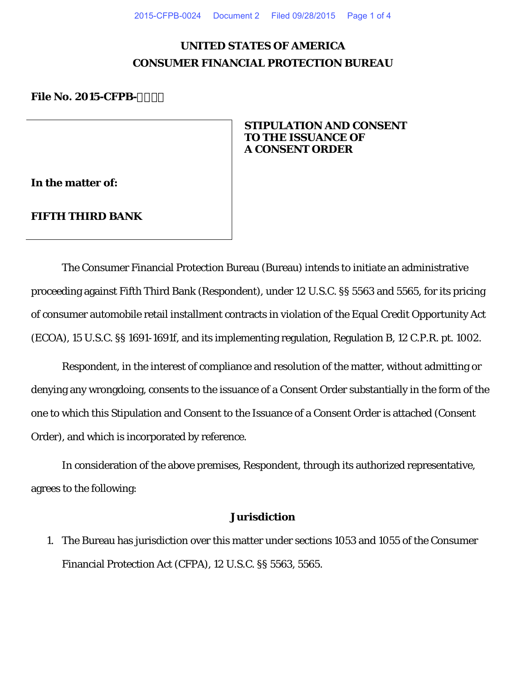# **UNITED STATES OF AMERICA CONSUMER FINANCIAL PROTECTION BUREAU**

#### **File No. 2015-CFPB-**

## **STIPULATION AND CONSENT TO THE ISSUANCE OF A CONSENT ORDER**

**In the matter of:** 

## **FIFTH THIRD BANK**

The Consumer Financial Protection Bureau (Bureau) intends to initiate an administrative proceeding against Fifth Third Bank (Respondent), under 12 U.S.C. §§ 5563 and 5565, for its pricing of consumer automobile retail installment contracts in violation of the Equal Credit Opportunity Act (ECOA), 15 U.S.C. §§ 1691-1691f, and its implementing regulation, Regulation B, 12 C.P.R. pt. 1002.

Respondent, in the interest of compliance and resolution of the matter, without admitting or denying any wrongdoing, consents to the issuance of a Consent Order substantially in the form of the one to which this Stipulation and Consent to the Issuance of a Consent Order is attached (Consent Order), and which is incorporated by reference.

In consideration of the above premises, Respondent, through its authorized representative, agrees to the following:

## **Jurisdiction**

1. The Bureau has jurisdiction over this matter under sections 1053 and 1055 of the Consumer Financial Protection Act (CFPA), 12 U.S.C. §§ 5563, 5565.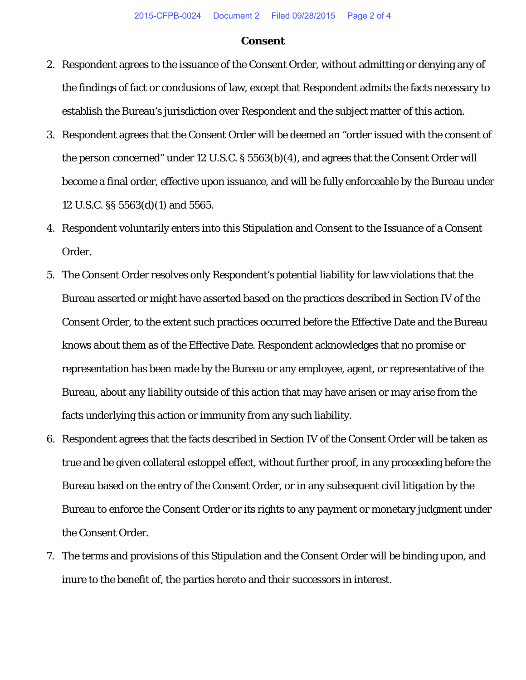#### **Consent**

- 2. Respondent agrees to the issuance of the Consent Order, without admitting or denying any of the findings of fact or conclusions of law, except that Respondent admits the facts necessary to establish the Bureau's jurisdiction over Respondent and the subject matter of this action.
- 3. Respondent agrees that the Consent Order will be deemed an "order issued with the consent of the person concerned" under 12 U.S.C. § 5563(b)(4), and agrees that the Consent Order will become a final order, effective upon issuance, and will be fully enforceable by the Bureau under 12 U.S.C. §§ 5563(d)(1) and 5565.
- 4. Respondent voluntarily enters into this Stipulation and Consent to the Issuance of a Consent Order.
- 5. The Consent Order resolves only Respondent's potential liability for law violations that the Bureau asserted or might have asserted based on the practices described in Section IV of the Consent Order, to the extent such practices occurred before the Effective Date and the Bureau knows about them as of the Effective Date. Respondent acknowledges that no promise or representation has been made by the Bureau or any employee, agent, or representative of the Bureau, about any liability outside of this action that may have arisen or may arise from the facts underlying this action or immunity from any such liability.
- 6. Respondent agrees that the facts described in Section IV of the Consent Order will be taken as true and be given collateral estoppel effect, without further proof, in any proceeding before the Bureau based on the entry of the Consent Order, or in any subsequent civil litigation by the Bureau to enforce the Consent Order or its rights to any payment or monetary judgment under the Consent Order.
- 7. The terms and provisions of this Stipulation and the Consent Order will be binding upon, and inure to the benefit of, the parties hereto and their successors in interest.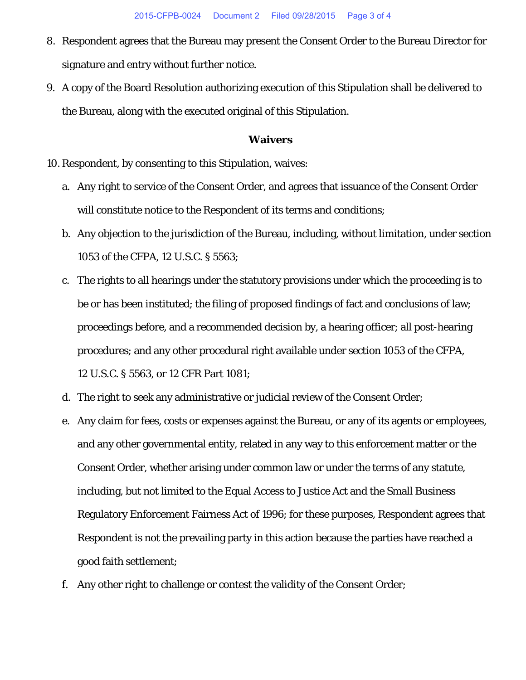- 8. Respondent agrees that the Bureau may present the Consent Order to the Bureau Director for signature and entry without further notice.
- 9. A copy of the Board Resolution authorizing execution of this Stipulation shall be delivered to the Bureau, along with the executed original of this Stipulation.

### **Waivers**

10. Respondent, by consenting to this Stipulation, waives:

- a. Any right to service of the Consent Order, and agrees that issuance of the Consent Order will constitute notice to the Respondent of its terms and conditions;
- b. Any objection to the jurisdiction of the Bureau, including, without limitation, under section 1053 of the CFPA, 12 U.S.C. § 5563;
- c. The rights to all hearings under the statutory provisions under which the proceeding is to be or has been instituted; the filing of proposed findings of fact and conclusions of law; proceedings before, and a recommended decision by, a hearing officer; all post-hearing procedures; and any other procedural right available under section 1053 of the CFPA, 12 U.S.C. § 5563, or 12 CFR Part 1081;
- d. The right to seek any administrative or judicial review of the Consent Order;
- e. Any claim for fees, costs or expenses against the Bureau, or any of its agents or employees, and any other governmental entity, related in any way to this enforcement matter or the Consent Order, whether arising under common law or under the terms of any statute, including, but not limited to the Equal Access to Justice Act and the Small Business Regulatory Enforcement Fairness Act of 1996; for these purposes, Respondent agrees that Respondent is not the prevailing party in this action because the parties have reached a good faith settlement;
- f. Any other right to challenge or contest the validity of the Consent Order;